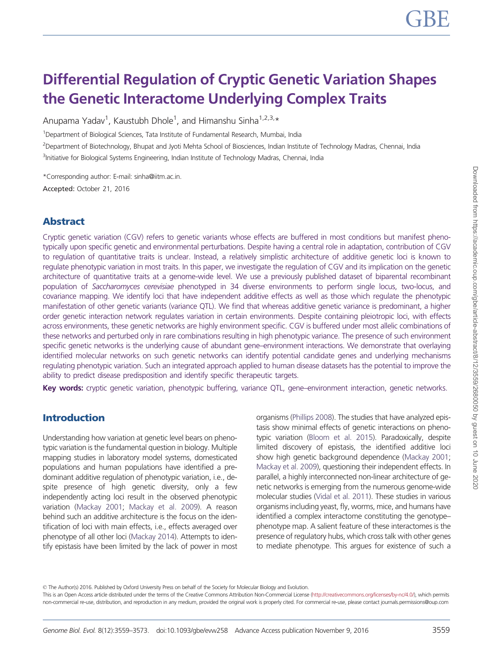# Differential Regulation of Cryptic Genetic Variation Shapes the Genetic Interactome Underlying Complex Traits

Anupama Yadav<sup>1</sup>, Kaustubh Dhole<sup>1</sup>, and Himanshu Sinha<sup>1,2,3,</sup>\*

<sup>1</sup>Department of Biological Sciences, Tata Institute of Fundamental Research, Mumbai, India

<sup>2</sup>Department of Biotechnology, Bhupat and Jyoti Mehta School of Biosciences, Indian Institute of Technology Madras, Chennai, India <sup>3</sup>Initiative for Biological Systems Engineering, Indian Institute of Technology Madras, Chennai, India

\*Corresponding author: E-mail: sinha@iitm.ac.in. Accepted: October 21, 2016

# Abstract

Cryptic genetic variation (CGV) refers to genetic variants whose effects are buffered in most conditions but manifest phenotypically upon specific genetic and environmental perturbations. Despite having a central role in adaptation, contribution of CGV to regulation of quantitative traits is unclear. Instead, a relatively simplistic architecture of additive genetic loci is known to regulate phenotypic variation in most traits. In this paper, we investigate the regulation of CGV and its implication on the genetic architecture of quantitative traits at a genome-wide level. We use a previously published dataset of biparental recombinant population of Saccharomyces cerevisiae phenotyped in 34 diverse environments to perform single locus, two-locus, and covariance mapping. We identify loci that have independent additive effects as well as those which regulate the phenotypic manifestation of other genetic variants (variance QTL). We find that whereas additive genetic variance is predominant, a higher order genetic interaction network regulates variation in certain environments. Despite containing pleiotropic loci, with effects across environments, these genetic networks are highly environment specific. CGV is buffered under most allelic combinations of these networks and perturbed only in rare combinations resulting in high phenotypic variance. The presence of such environment specific genetic networks is the underlying cause of abundant gene–environment interactions. We demonstrate that overlaying identified molecular networks on such genetic networks can identify potential candidate genes and underlying mechanisms regulating phenotypic variation. Such an integrated approach applied to human disease datasets has the potential to improve the ability to predict disease predisposition and identify specific therapeutic targets.

Key words: cryptic genetic variation, phenotypic buffering, variance QTL, gene–environment interaction, genetic networks.

## Introduction

Understanding how variation at genetic level bears on phenotypic variation is the fundamental question in biology. Multiple mapping studies in laboratory model systems, domesticated populations and human populations have identified a predominant additive regulation of phenotypic variation, i.e., despite presence of high genetic diversity, only a few independently acting loci result in the observed phenotypic variation ([Mackay 2001](#page-14-0); [Mackay et al. 2009](#page-14-0)). A reason behind such an additive architecture is the focus on the identification of loci with main effects, i.e., effects averaged over phenotype of all other loci ([Mackay 2014](#page-14-0)). Attempts to identify epistasis have been limited by the lack of power in most organisms [\(Phillips 2008\)](#page-14-0). The studies that have analyzed epistasis show minimal effects of genetic interactions on phenotypic variation [\(Bloom et al. 2015](#page-14-0)). Paradoxically, despite limited discovery of epistasis, the identified additive loci show high genetic background dependence ([Mackay 2001](#page-14-0); [Mackay et al. 2009\)](#page-14-0), questioning their independent effects. In parallel, a highly interconnected non-linear architecture of genetic networks is emerging from the numerous genome-wide molecular studies ([Vidal et al. 2011\)](#page-14-0). These studies in various organisms including yeast, fly, worms, mice, and humans have identified a complex interactome constituting the genotype– phenotype map. A salient feature of these interactomes is the presence of regulatory hubs, which cross talk with other genes to mediate phenotype. This argues for existence of such a

© The Author(s) 2016. Published by Oxford University Press on behalf of the Society for Molecular Biology and Evolution.

This is an Open Access article distributed under the terms of the Creative Commons Attribution Non-Commercial License [\(http://creativecommons.org/licenses/by-nc/4.0/](http://creativecommons.org/licenses/by-nc/4.0/)), which permits non-commercial re-use, distribution, and reproduction in any medium, provided the original work is properly cited. For commercial re-use, please contact journals.permissions@oup.com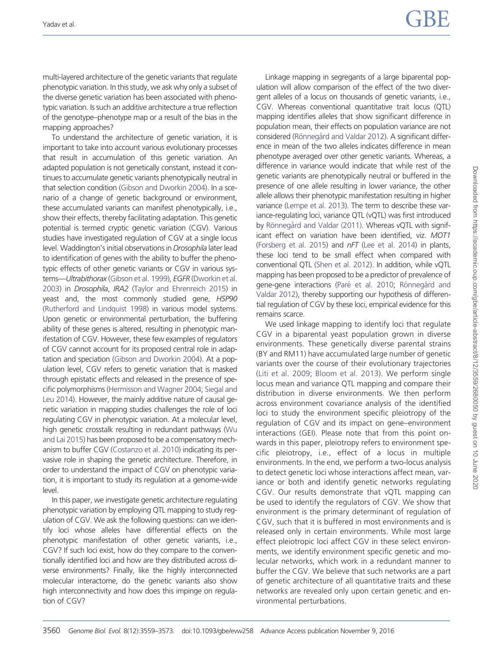multi-layered architecture of the genetic variants that regulate phenotypic variation. In this study, we ask why only a subset of the diverse genetic variation has been associated with phenotypic variation. Is such an additive architecture a true reflection of the genotype–phenotype map or a result of the bias in the mapping approaches?

To understand the architecture of genetic variation, it is important to take into account various evolutionary processes that result in accumulation of this genetic variation. An adapted population is not genetically constant, instead it continues to accumulate genetic variants phenotypically neutral in that selection condition [\(Gibson and Dworkin 2004](#page-14-0)). In a scenario of a change of genetic background or environment, these accumulated variants can manifest phenotypically, i.e., show their effects, thereby facilitating adaptation. This genetic potential is termed cryptic genetic variation (CGV). Various studies have investigated regulation of CGV at a single locus level. Waddington's initial observations in Drosophila later lead to identification of genes with the ability to buffer the phenotypic effects of other genetic variants or CGV in various sys-tems-Ultrabithorax ([Gibson et al. 1999\)](#page-14-0), EGFR [\(Dworkin et al.](#page-14-0) [2003\)](#page-14-0) in Drosophila, IRA2 [\(Taylor and Ehrenreich 2015\)](#page-14-0) in yeast and, the most commonly studied gene, HSP90 [\(Rutherford and Lindquist 1998\)](#page-14-0) in various model systems. Upon genetic or environmental perturbation, the buffering ability of these genes is altered, resulting in phenotypic manifestation of CGV. However, these few examples of regulators of CGV cannot account for its proposed central role in adaptation and speciation [\(Gibson and Dworkin 2004\)](#page-14-0). At a population level, CGV refers to genetic variation that is masked through epistatic effects and released in the presence of specific polymorphisms ([Hermisson and Wagner 2004;](#page-14-0) [Siegal and](#page-14-0) [Leu 2014](#page-14-0)). However, the mainly additive nature of causal genetic variation in mapping studies challenges the role of loci regulating CGV in phenotypic variation. At a molecular level, high genetic crosstalk resulting in redundant pathways [\(Wu](#page-14-0) [and Lai 2015\)](#page-14-0) has been proposed to be a compensatory mechanism to buffer CGV [\(Costanzo et al. 2010](#page-14-0)) indicating its pervasive role in shaping the genetic architecture. Therefore, in order to understand the impact of CGV on phenotypic variation, it is important to study its regulation at a genome-wide level.

In this paper, we investigate genetic architecture regulating phenotypic variation by employing QTL mapping to study regulation of CGV. We ask the following questions: can we identify loci whose alleles have differential effects on the phenotypic manifestation of other genetic variants, i.e., CGV? If such loci exist, how do they compare to the conventionally identified loci and how are they distributed across diverse environments? Finally, like the highly interconnected molecular interactome, do the genetic variants also show high interconnectivity and how does this impinge on regulation of CGV?

Linkage mapping in segregants of a large biparental population will allow comparison of the effect of the two divergent alleles of a locus on thousands of genetic variants, i.e., CGV. Whereas conventional quantitative trait locus (QTL) mapping identifies alleles that show significant difference in population mean, their effects on population variance are not considered (Rönnegård and Valdar 2012). A significant difference in mean of the two alleles indicates difference in mean phenotype averaged over other genetic variants. Whereas, a difference in variance would indicate that while rest of the genetic variants are phenotypically neutral or buffered in the presence of one allele resulting in lower variance, the other allele allows their phenotypic manifestation resulting in higher variance [\(Lempe et al. 2013\)](#page-14-0). The term to describe these variance-regulating loci, variance QTL (vQTL) was first introduced by Rönnegård and Valdar (2011). Whereas vQTL with significant effect on variation have been identified, viz. MOT1 ([Forsberg et al. 2015\)](#page-14-0) and nFT ([Lee et al. 2014\)](#page-14-0) in plants, these loci tend to be small effect when compared with conventional QTL [\(Shen et al. 2012](#page-14-0)). In addition, while vQTL mapping has been proposed to be a predictor of prevalence of gene-gene interactions (Paré [et al. 2010](#page-14-0); Rönnegård and [Valdar 2012](#page-14-0)), thereby supporting our hypothesis of differential regulation of CGV by these loci, empirical evidence for this remains scarce.

We used linkage mapping to identify loci that regulate CGV in a biparental yeast population grown in diverse environments. These genetically diverse parental strains (BY and RM11) have accumulated large number of genetic variants over the course of their evolutionary trajectories ([Liti et al. 2009](#page-14-0); [Bloom et al. 2013\)](#page-14-0). We perform single locus mean and variance QTL mapping and compare their distribution in diverse environments. We then perform across environment covariance analysis of the identified loci to study the environment specific pleiotropy of the regulation of CGV and its impact on gene–environment interactions (GEI). Please note that from this point onwards in this paper, pleiotropy refers to environment specific pleiotropy, i.e., effect of a locus in multiple environments. In the end, we perform a two-locus analysis to detect genetic loci whose interactions affect mean, variance or both and identify genetic networks regulating CGV. Our results demonstrate that vQTL mapping can be used to identify the regulators of CGV. We show that environment is the primary determinant of regulation of CGV, such that it is buffered in most environments and is released only in certain environments. While most large effect pleiotropic loci affect CGV in these select environments, we identify environment specific genetic and molecular networks, which work in a redundant manner to buffer the CGV. We believe that such networks are a part of genetic architecture of all quantitative traits and these networks are revealed only upon certain genetic and environmental perturbations.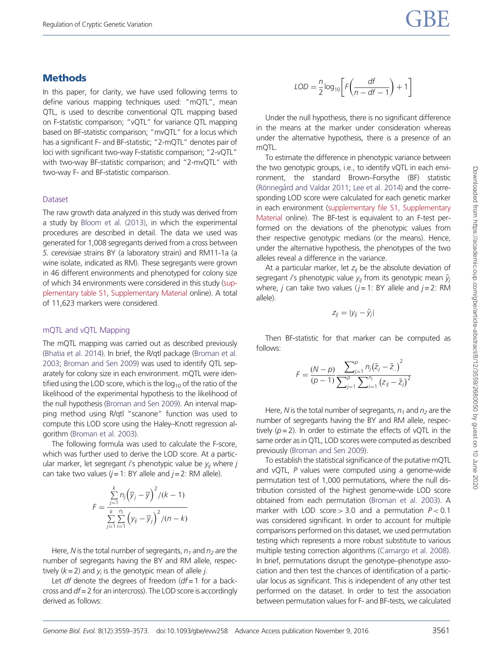## **Methods**

In this paper, for clarity, we have used following terms to define various mapping techniques used: "mQTL", mean QTL, is used to describe conventional QTL mapping based on F-statistic comparison; "vQTL" for variance QTL mapping based on BF-statistic comparison; "mvQTL" for a locus which has a significant F- and BF-statistic; "2-mQTL" denotes pair of loci with significant two-way F-statistic comparison; "2-vQTL" with two-way BF-statistic comparison; and "2-mvQTL" with two-way F- and BF-statistic comparison.

#### Dataset

The raw growth data analyzed in this study was derived from a study by [Bloom et al. \(2013\)](#page-14-0), in which the experimental procedures are described in detail. The data we used was generated for 1,008 segregants derived from a cross between S. cerevisiae strains BY (a laboratory strain) and RM11-1a (a wine isolate, indicated as RM). These segregants were grown in 46 different environments and phenotyped for colony size of which 34 environments were considered in this study ([sup](http://gbe.oxfordjournals.org/lookup/suppl/doi:10.1093/gbe/evw258/-/DC1)[plementary table S1](http://gbe.oxfordjournals.org/lookup/suppl/doi:10.1093/gbe/evw258/-/DC1), [Supplementary Material](http://gbe.oxfordjournals.org/lookup/suppl/doi:10.1093/gbe/evw258/-/DC1) online). A total of 11,623 markers were considered.

#### mQTL and vQTL Mapping

The mQTL mapping was carried out as described previously [\(Bhatia et al. 2014\)](#page-14-0). In brief, the R/qtl package [\(Broman et al.](#page-14-0) [2003;](#page-14-0) [Broman and Sen 2009\)](#page-14-0) was used to identify QTL separately for colony size in each environment. mQTL were identified using the LOD score, which is the  $log_{10}$  of the ratio of the likelihood of the experimental hypothesis to the likelihood of the null hypothesis ([Broman and Sen 2009](#page-14-0)). An interval mapping method using R/qtl "scanone" function was used to compute this LOD score using the Haley–Knott regression algorithm ([Broman et al. 2003\)](#page-14-0).

The following formula was used to calculate the F-score, which was further used to derive the LOD score. At a particular marker, let segregant i's phenotypic value be  $y_{ii}$  where j can take two values ( $j = 1$ : BY allele and  $j = 2$ : RM allele).

$$
F = \frac{\sum_{j=1}^{k} n_j (\overline{y}_j - \overline{y})^2 / (k - 1)}{\sum_{j=1}^{k} \sum_{i=1}^{n_j} (\overline{y}_j - \overline{y}_j)^2 / (n - k)}
$$

Here, N is the total number of segregants,  $n_1$  and  $n_2$  are the number of segregants having the BY and RM allele, respectively  $(k = 2)$  and  $y_i$  is the genotypic mean of allele j.

Let df denote the degrees of freedom  $(df = 1$  for a backcross and  $df = 2$  for an intercross). The LOD score is accordingly derived as follows:

$$
LOD = \frac{n}{2} \log_{10} \left[ F \left( \frac{df}{n - df - 1} \right) + 1 \right]
$$

Under the null hypothesis, there is no significant difference in the means at the marker under consideration whereas under the alternative hypothesis, there is a presence of an mQTL.

To estimate the difference in phenotypic variance between the two genotypic groups, i.e., to identify vQTL in each environment, the standard Brown–Forsythe (BF) statistic (Rönnegård and Valdar 2011; [Lee et al. 2014](#page-14-0)) and the corresponding LOD score were calculated for each genetic marker in each environment [\(supplementary file S1, Supplementary](http://gbe.oxfordjournals.org/lookup/suppl/doi:10.1093/gbe/evw258/-/DC1) [Material](http://gbe.oxfordjournals.org/lookup/suppl/doi:10.1093/gbe/evw258/-/DC1) online). The BF-test is equivalent to an F-test performed on the deviations of the phenotypic values from their respective genotypic medians (or the means). Hence, under the alternative hypothesis, the phenotypes of the two alleles reveal a difference in the variance.

At a particular marker, let  $z_{ii}$  be the absolute deviation of segregant i's phenotypic value  $y_{ii}$  from its genotypic mean  $\tilde{y}_{i}$ where, *j* can take two values ( $j = 1$ : BY allele and  $j = 2$ : RM allele).

$$
z_{ij} = |y_{ij} - \tilde{y}_j|
$$

Then BF-statistic for that marker can be computed as follows:

$$
F = \frac{(N-p)}{(p-1)} \frac{\sum_{j=1}^{p} n_j (\tilde{z}_j - \tilde{z}_{..})^2}{\sum_{j=1}^{p} \sum_{i=1}^{n_j} (z_{ij} - \tilde{z}_j)^2}
$$

Here, N is the total number of segregants,  $n_1$  and  $n_2$  are the number of segregants having the BY and RM allele, respectively  $(p = 2)$ . In order to estimate the effects of vQTL in the same order as in QTL, LOD scores were computed as described previously [\(Broman and Sen 2009](#page-14-0)).

To establish the statistical significance of the putative mQTL and vQTL, P values were computed using a genome-wide permutation test of 1,000 permutations, where the null distribution consisted of the highest genome-wide LOD score obtained from each permutation ([Broman et al. 2003](#page-14-0)). A marker with LOD score  $> 3.0$  and a permutation  $P < 0.1$ was considered significant. In order to account for multiple comparisons performed on this dataset, we used permutation testing which represents a more robust substitute to various multiple testing correction algorithms [\(Camargo et al. 2008\)](#page-14-0). In brief, permutations disrupt the genotype–phenotype association and then test the chances of identification of a particular locus as significant. This is independent of any other test performed on the dataset. In order to test the association between permutation values for F- and BF-tests, we calculated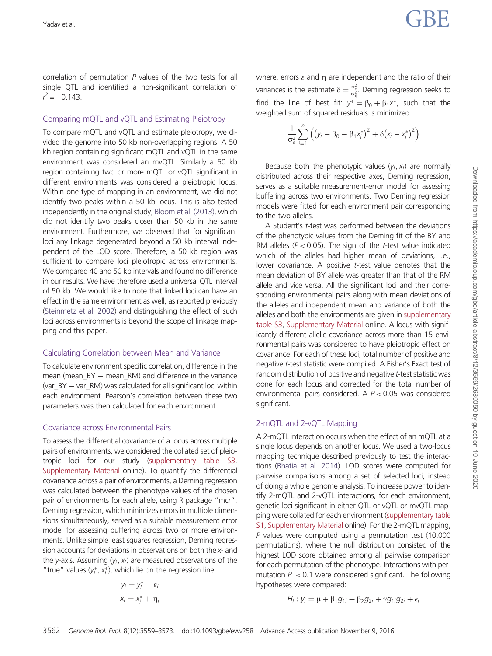correlation of permutation P values of the two tests for all single QTL and identified a non-significant correlation of  $r^2 = -0.143$ .

## Comparing mQTL and vQTL and Estimating Pleiotropy

To compare mQTL and vQTL and estimate pleiotropy, we divided the genome into 50 kb non-overlapping regions. A 50 kb region containing significant mQTL and vQTL in the same environment was considered an mvQTL. Similarly a 50 kb region containing two or more mQTL or vQTL significant in different environments was considered a pleiotropic locus. Within one type of mapping in an environment, we did not identify two peaks within a 50 kb locus. This is also tested independently in the original study, [Bloom et al. \(2013\),](#page-14-0) which did not identify two peaks closer than 50 kb in the same environment. Furthermore, we observed that for significant loci any linkage degenerated beyond a 50 kb interval independent of the LOD score. Therefore, a 50 kb region was sufficient to compare loci pleiotropic across environments. We compared 40 and 50 kb intervals and found no difference in our results. We have therefore used a universal QTL interval of 50 kb. We would like to note that linked loci can have an effect in the same environment as well, as reported previously [\(Steinmetz et al. 2002](#page-14-0)) and distinguishing the effect of such loci across environments is beyond the scope of linkage mapping and this paper.

#### Calculating Correlation between Mean and Variance

To calculate environment specific correlation, difference in the mean (mean\_BY  $-$  mean\_RM) and difference in the variance (var\_BY - var\_RM) was calculated for all significant loci within each environment. Pearson's correlation between these two parameters was then calculated for each environment.

#### Covariance across Environmental Pairs

To assess the differential covariance of a locus across multiple pairs of environments, we considered the collated set of pleiotropic loci for our study ([supplementary table S3,](http://gbe.oxfordjournals.org/lookup/suppl/doi:10.1093/gbe/evw258/-/DC1) [Supplementary Material](http://gbe.oxfordjournals.org/lookup/suppl/doi:10.1093/gbe/evw258/-/DC1) online). To quantify the differential covariance across a pair of environments, a Deming regression was calculated between the phenotype values of the chosen pair of environments for each allele, using R package "mcr". Deming regression, which minimizes errors in multiple dimensions simultaneously, served as a suitable measurement error model for assessing buffering across two or more environments. Unlike simple least squares regression, Deming regression accounts for deviations in observations on both the x- and the y-axis. Assuming  $(y_i, x_i)$  are measured observations of the "true" values  $(y_i^*, x_i^*)$ , which lie on the regression line.

$$
y_i = y_i^* + \varepsilon_i
$$

$$
x_i = x_i^* + \eta_i
$$

where, errors  $\varepsilon$  and  $\eta$  are independent and the ratio of their variances is the estimate  $\delta = \frac{\sigma_{\varepsilon}^2}{\sigma_{\eta}^2}$ . Deming regression seeks to find the line of best fit:  $y^* = \beta_0 + \beta_1 x^*$ , such that the weighted sum of squared residuals is minimized.

$$
\frac{1}{\sigma_{\varepsilon}^2} \sum_{i=1}^n \left( \left( y_i - \beta_0 - \beta_1 x_i^* \right)^2 + \delta \left( x_i - x_i^* \right)^2 \right)
$$

Because both the phenotypic values  $(y_i, x_i)$  are normally distributed across their respective axes, Deming regression, serves as a suitable measurement-error model for assessing buffering across two environments. Two Deming regression models were fitted for each environment pair corresponding to the two alleles.

A Student's *t*-test was performed between the deviations of the phenotypic values from the Deming fit of the BY and RM alleles ( $P < 0.05$ ). The sign of the *t*-test value indicated which of the alleles had higher mean of deviations, i.e., lower covariance. A positive t-test value denotes that the mean deviation of BY allele was greater than that of the RM allele and vice versa. All the significant loci and their corresponding environmental pairs along with mean deviations of the alleles and independent mean and variance of both the alleles and both the environments are given in [supplementary](http://gbe.oxfordjournals.org/lookup/suppl/doi:10.1093/gbe/evw258/-/DC1) [table S3,](http://gbe.oxfordjournals.org/lookup/suppl/doi:10.1093/gbe/evw258/-/DC1) [Supplementary Material](http://gbe.oxfordjournals.org/lookup/suppl/doi:10.1093/gbe/evw258/-/DC1) online. A locus with significantly different allelic covariance across more than 15 environmental pairs was considered to have pleiotropic effect on covariance. For each of these loci, total number of positive and negative t-test statistic were compiled. A Fisher's Exact test of random distribution of positive and negative t-test statistic was done for each locus and corrected for the total number of environmental pairs considered. A P< 0.05 was considered significant.

## 2-mQTL and 2-vQTL Mapping

A 2-mQTL interaction occurs when the effect of an mQTL at a single locus depends on another locus. We used a two-locus mapping technique described previously to test the interactions ([Bhatia et al. 2014](#page-14-0)). LOD scores were computed for pairwise comparisons among a set of selected loci, instead of doing a whole genome analysis. To increase power to identify 2-mQTL and 2-vQTL interactions, for each environment, genetic loci significant in either QTL or vQTL or mvQTL mapping were collated for each environment [\(supplementary table](http://gbe.oxfordjournals.org/lookup/suppl/doi:10.1093/gbe/evw258/-/DC1) [S1,](http://gbe.oxfordjournals.org/lookup/suppl/doi:10.1093/gbe/evw258/-/DC1) [Supplementary Material](http://gbe.oxfordjournals.org/lookup/suppl/doi:10.1093/gbe/evw258/-/DC1) online). For the 2-mQTL mapping, P values were computed using a permutation test (10,000 permutations), where the null distribution consisted of the highest LOD score obtained among all pairwise comparison for each permutation of the phenotype. Interactions with permutation  $P < 0.1$  were considered significant. The following hypotheses were compared:

$$
H_i: y_i = \mu + \beta_1 g_{1i} + \beta_2 g_{2i} + \gamma g_{1i} g_{2i} + \epsilon_i
$$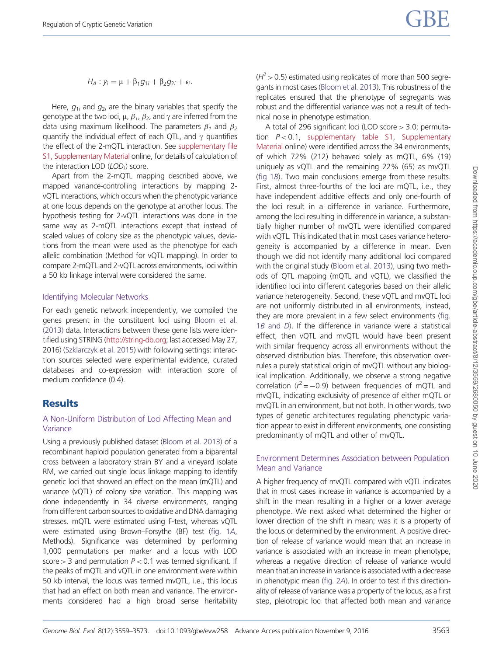$$
\mathit{H}_{A}: y_{i}=\mu+\beta_{1}g_{1i}+\beta_{2}g_{2i}+\varepsilon_{i}.
$$

Here,  $g_{1i}$  and  $g_{2i}$  are the binary variables that specify the genotype at the two loci,  $\mu$ ,  $\beta_{1}$ ,  $\beta_{2}$ , and  $\gamma$  are inferred from the data using maximum likelihood. The parameters  $\beta_1$  and  $\beta_2$ quantify the individual effect of each QTL, and  $\gamma$  quantifies the effect of the 2-mQTL interaction. See [supplementary file](http://gbe.oxfordjournals.org/lookup/suppl/doi:10.1093/gbe/evw258/-/DC1) [S1, Supplementary Material](http://gbe.oxfordjournals.org/lookup/suppl/doi:10.1093/gbe/evw258/-/DC1) online, for details of calculation of the interaction LOD  $(LOD_i)$  score.

Apart from the 2-mQTL mapping described above, we mapped variance-controlling interactions by mapping 2 vQTL interactions, which occurs when the phenotypic variance at one locus depends on the genotype at another locus. The hypothesis testing for 2-vQTL interactions was done in the same way as 2-mQTL interactions except that instead of scaled values of colony size as the phenotypic values, deviations from the mean were used as the phenotype for each allelic combination (Method for vQTL mapping). In order to compare 2-mQTL and 2-vQTL across environments, loci within a 50 kb linkage interval were considered the same.

## Identifying Molecular Networks

For each genetic network independently, we compiled the genes present in the constituent loci using [Bloom et al.](#page-14-0) [\(2013\)](#page-14-0) data. Interactions between these gene lists were identified using STRING (<http://string-db.org>; last accessed May 27, 2016) [\(Szklarczyk et al. 2015\)](#page-14-0) with following settings: interaction sources selected were experimental evidence, curated databases and co-expression with interaction score of medium confidence (0.4).

## **Results**

## A Non-Uniform Distribution of Loci Affecting Mean and Variance

Using a previously published dataset [\(Bloom et al. 2013\)](#page-14-0) of a recombinant haploid population generated from a biparental cross between a laboratory strain BY and a vineyard isolate RM, we carried out single locus linkage mapping to identify genetic loci that showed an effect on the mean (mQTL) and variance (vQTL) of colony size variation. This mapping was done independently in 34 diverse environments, ranging from different carbon sources to oxidative and DNA damaging stresses. mQTL were estimated using F-test, whereas vQTL were estimated using Brown–Forsythe (BF) test [\(fig. 1](#page-5-0)A, Methods). Significance was determined by performing 1,000 permutations per marker and a locus with LOD score  $> 3$  and permutation  $P < 0.1$  was termed significant. If the peaks of mQTL and vQTL in one environment were within 50 kb interval, the locus was termed mvQTL, i.e., this locus that had an effect on both mean and variance. The environments considered had a high broad sense heritability  $(H^2 > 0.5)$  estimated using replicates of more than 500 segregants in most cases [\(Bloom et al. 2013\)](#page-14-0). This robustness of the replicates ensured that the phenotype of segregants was robust and the differential variance was not a result of technical noise in phenotype estimation.

A total of 296 significant loci (LOD score > 3.0; permutation  $P < 0.1$ , [supplementary table S1,](http://gbe.oxfordjournals.org/lookup/suppl/doi:10.1093/gbe/evw258/-/DC1) [Supplementary](http://gbe.oxfordjournals.org/lookup/suppl/doi:10.1093/gbe/evw258/-/DC1) [Material](http://gbe.oxfordjournals.org/lookup/suppl/doi:10.1093/gbe/evw258/-/DC1) online) were identified across the 34 environments, of which 72% (212) behaved solely as mQTL, 6% (19) uniquely as vQTL and the remaining 22% (65) as mvQTL ([fig 1](#page-5-0)B). Two main conclusions emerge from these results. First, almost three-fourths of the loci are mQTL, i.e., they have independent additive effects and only one-fourth of the loci result in a difference in variance. Furthermore, among the loci resulting in difference in variance, a substantially higher number of mvQTL were identified compared with vQTL. This indicated that in most cases variance heterogeneity is accompanied by a difference in mean. Even though we did not identify many additional loci compared with the original study [\(Bloom et al. 2013](#page-14-0)), using two methods of QTL mapping (mQTL and vQTL), we classified the identified loci into different categories based on their allelic variance heterogeneity. Second, these vQTL and mvQTL loci are not uniformly distributed in all environments, instead, they are more prevalent in a few select environments [\(fig.](#page-5-0)  $1B$  [and](#page-5-0)  $D$ ). If the difference in variance were a statistical effect, then vQTL and mvQTL would have been present with similar frequency across all environments without the observed distribution bias. Therefore, this observation overrules a purely statistical origin of mvQTL without any biological implication. Additionally, we observe a strong negative correlation ( $r^2$  = -0.9) between frequencies of mQTL and mvQTL, indicating exclusivity of presence of either mQTL or mvQTL in an environment, but not both. In other words, two types of genetic architectures regulating phenotypic variation appear to exist in different environments, one consisting predominantly of mQTL and other of mvQTL.

## Environment Determines Association between Population Mean and Variance

A higher frequency of mvQTL compared with vQTL indicates that in most cases increase in variance is accompanied by a shift in the mean resulting in a higher or a lower average phenotype. We next asked what determined the higher or lower direction of the shift in mean; was it is a property of the locus or determined by the environment. A positive direction of release of variance would mean that an increase in variance is associated with an increase in mean phenotype, whereas a negative direction of release of variance would mean that an increase in variance is associated with a decrease in phenotypic mean [\(fig. 2](#page-6-0)A). In order to test if this directionality of release of variance was a property of the locus, as a first step, pleiotropic loci that affected both mean and variance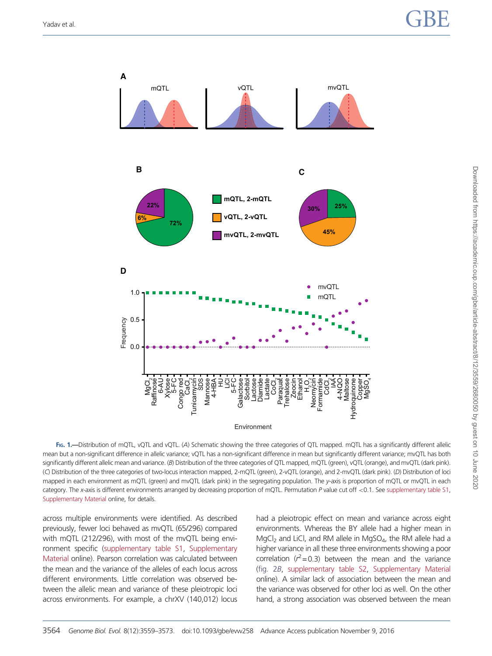<span id="page-5-0"></span>

FIG. 1.—Distribution of mQTL, vQTL and vQTL. (A) Schematic showing the three categories of QTL mapped. mQTL has a significantly different allelic mean but a non-significant difference in allelic variance; vQTL has a non-significant difference in mean but significantly different variance; mvQTL has both significantly different allelic mean and variance. (B) Distribution of the three categories of QTL mapped, mQTL (green), vQTL (orange), and mvQTL (dark pink). (C) Distribution of the three categories of two-locus interaction mapped, 2-mQTL (green), 2-vQTL (orange), and 2-mvQTL (dark pink). (D) Distribution of loci mapped in each environment as mQTL (green) and mvQTL (dark pink) in the segregating population. The y-axis is proportion of mQTL or mvQTL in each category. The x-axis is different environments arranged by decreasing proportion of mQTL. Permutation P value cut off <0.1. See [supplementary table S1,](http://gbe.oxfordjournals.org/lookup/suppl/doi:10.1093/gbe/evw258/-/DC1) [Supplementary Material](http://gbe.oxfordjournals.org/lookup/suppl/doi:10.1093/gbe/evw258/-/DC1) online, for details.

across multiple environments were identified. As described previously, fewer loci behaved as mvQTL (65/296) compared with mQTL (212/296), with most of the mvQTL being environment specific [\(supplementary table S1,](http://gbe.oxfordjournals.org/lookup/suppl/doi:10.1093/gbe/evw258/-/DC1) [Supplementary](http://gbe.oxfordjournals.org/lookup/suppl/doi:10.1093/gbe/evw258/-/DC1) [Material](http://gbe.oxfordjournals.org/lookup/suppl/doi:10.1093/gbe/evw258/-/DC1) online). Pearson correlation was calculated between the mean and the variance of the alleles of each locus across different environments. Little correlation was observed between the allelic mean and variance of these pleiotropic loci across environments. For example, a chrXV (140,012) locus had a pleiotropic effect on mean and variance across eight environments. Whereas the BY allele had a higher mean in  $MgCl<sub>2</sub>$  and LiCl, and RM allele in MgSO<sub>4</sub>, the RM allele had a higher variance in all these three environments showing a poor correlation ( $r^2$  = 0.3) between the mean and the variance ([fig. 2](#page-6-0)B, [supplementary table S2,](http://gbe.oxfordjournals.org/lookup/suppl/doi:10.1093/gbe/evw258/-/DC1) [Supplementary Material](http://gbe.oxfordjournals.org/lookup/suppl/doi:10.1093/gbe/evw258/-/DC1) online). A similar lack of association between the mean and the variance was observed for other loci as well. On the other hand, a strong association was observed between the mean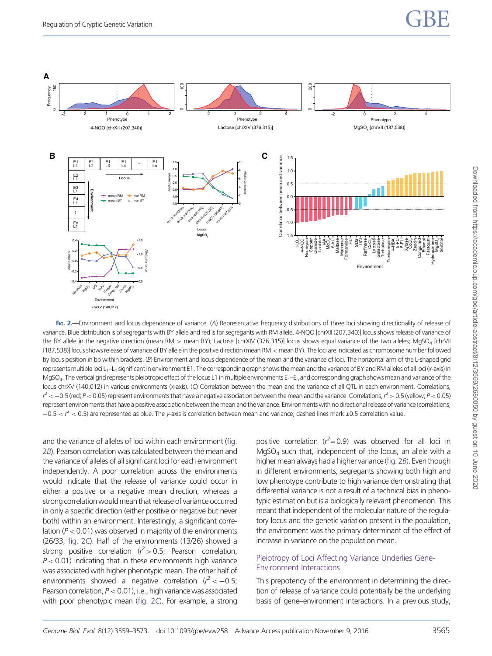<span id="page-6-0"></span>

FIG. 2.—Environment and locus dependence of variance. (A) Representative frequency distributions of three loci showing directionality of release of variance. Blue distribution is of segregants with BY allele and red is for segregants with RM allele. 4-NQO [chrXII (207,340)] locus shows release of variance of the BY allele in the negative direction (mean RM > mean BY); Lactose [chrXIV (376,315)] locus shows equal variance of the two alleles; MgSO<sub>4</sub> [chrVII (187,538)] locus shows release of variance of BY allele in the positive direction (mean RM < mean BY). The loci are indicated as chromosome number followed by locus position in bp within brackets. (B) Environment and locus dependence of the mean and the variance of loci. The horizontal arm of the L-shaped grid represents multiple loci L<sub>1</sub>–L<sub>n</sub> significant in environment E1. The corresponding graph shows the mean and the variance of BY and RM alleles of all loci (x-axis) in MgSO<sub>4</sub>. The vertical grid represents pleiotropic effect of the locus L1 in multiple environments E<sub>1</sub>–E<sub>n</sub> and corresponding graph shows mean and variance of the locus chrXV (140,012) in various environments (x-axis). (C) Correlation between the mean and the variance of all QTL in each environment. Correlations,  $r^2$   $<$   $-$  0.5 (red; P  $<$  0.05) represent environments that have a negative association between the mean and the variance. Correlations,  $r^2$   $>$  0.5 (yellow; P  $<$  0.05) represent environments that have a positive association between the mean and the variance. Environments with no directional release of variance (correlations,  $-0.5 < r^2 < 0.5$ ) are represented as blue. The y-axis is correlation between mean and variance; dashed lines mark ±0.5 correlation value.

and the variance of alleles of loci within each environment (fig. 2B). Pearson correlation was calculated between the mean and the variance of alleles of all significant loci for each environment independently. A poor correlation across the environments would indicate that the release of variance could occur in either a positive or a negative mean direction, whereas a strong correlation would mean that release of variance occurred in only a specific direction (either positive or negative but never both) within an environment. Interestingly, a significant correlation ( $P < 0.01$ ) was observed in majority of the environments (26/33, fig. 2C). Half of the environments (13/26) showed a strong positive correlation ( $r^2 > 0.5$ ; Pearson correlation,  $P < 0.01$ ) indicating that in these environments high variance was associated with higher phenotypic mean. The other half of environments showed a negative correlation ( $r^2 < -0.5$ ; Pearson correlation,  $P < 0.01$ ), i.e., high variance was associated with poor phenotypic mean (fig. 2C). For example, a strong

positive correlation ( $r^2$  = 0.9) was observed for all loci in MgSO4 such that, independent of the locus, an allele with a higher mean always had a higher variance (fig. 2B). Even though in different environments, segregants showing both high and low phenotype contribute to high variance demonstrating that differential variance is not a result of a technical bias in phenotypic estimation but is a biologically relevant phenomenon. This meant that independent of the molecular nature of the regulatory locus and the genetic variation present in the population, the environment was the primary determinant of the effect of increase in variance on the population mean.

#### Pleiotropy of Loci Affecting Variance Underlies Gene-Environment Interactions

This prepotency of the environment in determining the direction of release of variance could potentially be the underlying basis of gene–environment interactions. In a previous study,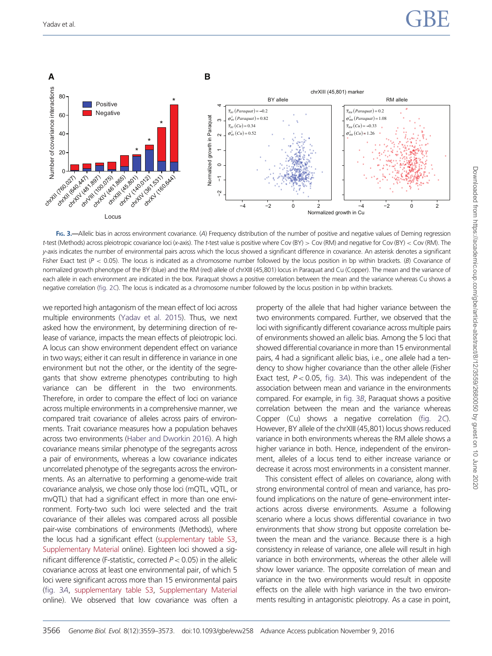<span id="page-7-0"></span>

FIG. 3.—Allelic bias in across environment covariance. (A) Frequency distribution of the number of positive and negative values of Deming regression t-test (Methods) across pleiotropic covariance loci (x-axis). The t-test value is positive where Cov (BY) > Cov (RM) and negative for Cov (BY) < Cov (RM). The y-axis indicates the number of environmental pairs across which the locus showed a significant difference in covariance. An asterisk denotes a significant Fisher Exact test ( $P < 0.05$ ). The locus is indicated as a chromosome number followed by the locus position in bp within brackets. (B) Covariance of normalized growth phenotype of the BY (blue) and the RM (red) allele of chrXIII (45,801) locus in Paraquat and Cu (Copper). The mean and the variance of each allele in each environment are indicated in the box. Paraquat shows a positive correlation between the mean and the variance whereas Cu shows a negative correlation ([fig. 2](#page-6-0)C). The locus is indicated as a chromosome number followed by the locus position in bp within brackets.

we reported high antagonism of the mean effect of loci across multiple environments [\(Yadav et al. 2015\)](#page-14-0). Thus, we next asked how the environment, by determining direction of release of variance, impacts the mean effects of pleiotropic loci. A locus can show environment dependent effect on variance in two ways; either it can result in difference in variance in one environment but not the other, or the identity of the segregants that show extreme phenotypes contributing to high variance can be different in the two environments. Therefore, in order to compare the effect of loci on variance across multiple environments in a comprehensive manner, we compared trait covariance of alleles across pairs of environments. Trait covariance measures how a population behaves across two environments [\(Haber and Dworkin 2016](#page-14-0)). A high covariance means similar phenotype of the segregants across a pair of environments, whereas a low covariance indicates uncorrelated phenotype of the segregants across the environments. As an alternative to performing a genome-wide trait covariance analysis, we chose only those loci (mQTL, vQTL, or mvQTL) that had a significant effect in more than one environment. Forty-two such loci were selected and the trait covariance of their alleles was compared across all possible pair-wise combinations of environments (Methods), where the locus had a significant effect [\(supplementary table S3,](http://gbe.oxfordjournals.org/lookup/suppl/doi:10.1093/gbe/evw258/-/DC1) [Supplementary Material](http://gbe.oxfordjournals.org/lookup/suppl/doi:10.1093/gbe/evw258/-/DC1) online). Eighteen loci showed a significant difference (F-statistic, corrected  $P < 0.05$ ) in the allelic covariance across at least one environmental pair, of which 5 loci were significant across more than 15 environmental pairs (fig. 3A, [supplementary table S3,](http://gbe.oxfordjournals.org/lookup/suppl/doi:10.1093/gbe/evw258/-/DC1) [Supplementary Material](http://gbe.oxfordjournals.org/lookup/suppl/doi:10.1093/gbe/evw258/-/DC1) online). We observed that low covariance was often a property of the allele that had higher variance between the two environments compared. Further, we observed that the loci with significantly different covariance across multiple pairs of environments showed an allelic bias. Among the 5 loci that showed differential covariance in more than 15 environmental pairs, 4 had a significant allelic bias, i.e., one allele had a tendency to show higher covariance than the other allele (Fisher Exact test,  $P < 0.05$ , fig. 3A). This was independent of the association between mean and variance in the environments compared. For example, in fig. 3B, Paraquat shows a positive correlation between the mean and the variance whereas Copper (Cu) shows a negative correlation [\(fig. 2](#page-6-0)C). However, BY allele of the chrXIII (45,801) locus shows reduced variance in both environments whereas the RM allele shows a higher variance in both. Hence, independent of the environment, alleles of a locus tend to either increase variance or decrease it across most environments in a consistent manner.

This consistent effect of alleles on covariance, along with strong environmental control of mean and variance, has profound implications on the nature of gene–environment interactions across diverse environments. Assume a following scenario where a locus shows differential covariance in two environments that show strong but opposite correlation between the mean and the variance. Because there is a high consistency in release of variance, one allele will result in high variance in both environments, whereas the other allele will show lower variance. The opposite correlation of mean and variance in the two environments would result in opposite effects on the allele with high variance in the two environments resulting in antagonistic pleiotropy. As a case in point,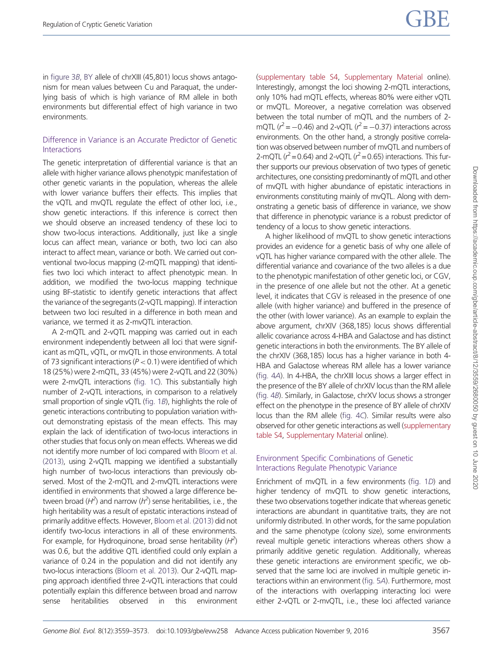in [figure 3](#page-7-0)B, BY allele of chrXIII (45,801) locus shows antagonism for mean values between Cu and Paraquat, the underlying basis of which is high variance of RM allele in both environments but differential effect of high variance in two environments.

## Difference in Variance is an Accurate Predictor of Genetic Interactions

The genetic interpretation of differential variance is that an allele with higher variance allows phenotypic manifestation of other genetic variants in the population, whereas the allele with lower variance buffers their effects. This implies that the vQTL and mvQTL regulate the effect of other loci, i.e., show genetic interactions. If this inference is correct then we should observe an increased tendency of these loci to show two-locus interactions. Additionally, just like a single locus can affect mean, variance or both, two loci can also interact to affect mean, variance or both. We carried out conventional two-locus mapping (2-mQTL mapping) that identifies two loci which interact to affect phenotypic mean. In addition, we modified the two-locus mapping technique using BF-statistic to identify genetic interactions that affect the variance of the segregants (2-vQTL mapping). If interaction between two loci resulted in a difference in both mean and variance, we termed it as 2-mvQTL interaction.

A 2-mQTL and 2-vQTL mapping was carried out in each environment independently between all loci that were significant as mQTL, vQTL, or mvQTL in those environments. A total of 73 significant interactions ( $P < 0.1$ ) were identified of which 18 (25%) were 2-mQTL, 33 (45%) were 2-vQTL and 22 (30%) were 2-mvQTL interactions ([fig. 1](#page-5-0)C). This substantially high number of 2-vQTL interactions, in comparison to a relatively small proportion of single vQTL ([fig. 1](#page-5-0)B), highlights the role of genetic interactions contributing to population variation without demonstrating epistasis of the mean effects. This may explain the lack of identification of two-locus interactions in other studies that focus only on mean effects. Whereas we did not identify more number of loci compared with [Bloom et al.](#page-14-0) [\(2013\),](#page-14-0) using 2-vQTL mapping we identified a substantially high number of two-locus interactions than previously observed. Most of the 2-mQTL and 2-mvQTL interactions were identified in environments that showed a large difference between broad ( $H^2$ ) and narrow ( $h^2$ ) sense heritabilities, i.e., the high heritability was a result of epistatic interactions instead of primarily additive effects. However, [Bloom et al. \(2013\)](#page-14-0) did not identify two-locus interactions in all of these environments. For example, for Hydroquinone, broad sense heritability  $(H^2)$ was 0.6, but the additive QTL identified could only explain a variance of 0.24 in the population and did not identify any two-locus interactions [\(Bloom et al. 2013\)](#page-14-0). Our 2-vQTL mapping approach identified three 2-vQTL interactions that could potentially explain this difference between broad and narrow sense heritabilities observed in this environment

([supplementary table S4](http://gbe.oxfordjournals.org/lookup/suppl/doi:10.1093/gbe/evw258/-/DC1), [Supplementary Material](http://gbe.oxfordjournals.org/lookup/suppl/doi:10.1093/gbe/evw258/-/DC1) online). Interestingly, amongst the loci showing 2-mQTL interactions, only 10% had mQTL effects, whereas 80% were either vQTL or mvQTL. Moreover, a negative correlation was observed between the total number of mQTL and the numbers of 2 mQTL ( $r^2 = -0.46$ ) and 2-vQTL ( $r^2 = -0.37$ ) interactions across environments. On the other hand, a strongly positive correlation was observed between number of mvQTL and numbers of 2-mQTL ( $r^2$  = 0.64) and 2-vQTL ( $r^2$  = 0.65) interactions. This further supports our previous observation of two types of genetic architectures, one consisting predominantly of mQTL and other of mvQTL with higher abundance of epistatic interactions in environments constituting mainly of mvQTL. Along with demonstrating a genetic basis of difference in variance, we show that difference in phenotypic variance is a robust predictor of tendency of a locus to show genetic interactions.

A higher likelihood of mvQTL to show genetic interactions provides an evidence for a genetic basis of why one allele of vQTL has higher variance compared with the other allele. The differential variance and covariance of the two alleles is a due to the phenotypic manifestation of other genetic loci, or CGV, in the presence of one allele but not the other. At a genetic level, it indicates that CGV is released in the presence of one allele (with higher variance) and buffered in the presence of the other (with lower variance). As an example to explain the above argument, chrXIV (368,185) locus shows differential allelic covariance across 4-HBA and Galactose and has distinct genetic interactions in both the environments. The BY allele of the chrXIV (368,185) locus has a higher variance in both 4- HBA and Galactose whereas RM allele has a lower variance ([fig. 4](#page-9-0)A). In 4-HBA, the chrXIII locus shows a larger effect in the presence of the BY allele of chrXIV locus than the RM allele ([fig. 4](#page-9-0)B). Similarly, in Galactose, chrXV locus shows a stronger effect on the phenotype in the presence of BY allele of chrXIV locus than the RM allele [\(fig. 4](#page-9-0)C). Similar results were also observed for other genetic interactions as well [\(supplementary](http://gbe.oxfordjournals.org/lookup/suppl/doi:10.1093/gbe/evw258/-/DC1) [table S4,](http://gbe.oxfordjournals.org/lookup/suppl/doi:10.1093/gbe/evw258/-/DC1) [Supplementary Material](http://gbe.oxfordjournals.org/lookup/suppl/doi:10.1093/gbe/evw258/-/DC1) online).

## Environment Specific Combinations of Genetic Interactions Regulate Phenotypic Variance

Enrichment of mvQTL in a few environments [\(fig. 1](#page-5-0)D) and higher tendency of mvQTL to show genetic interactions, these two observations together indicate that whereas genetic interactions are abundant in quantitative traits, they are not uniformly distributed. In other words, for the same population and the same phenotype (colony size), some environments reveal multiple genetic interactions whereas others show a primarily additive genetic regulation. Additionally, whereas these genetic interactions are environment specific, we observed that the same loci are involved in multiple genetic interactions within an environment [\(fig. 5](#page-11-0)A). Furthermore, most of the interactions with overlapping interacting loci were either 2-vQTL or 2-mvQTL, i.e., these loci affected variance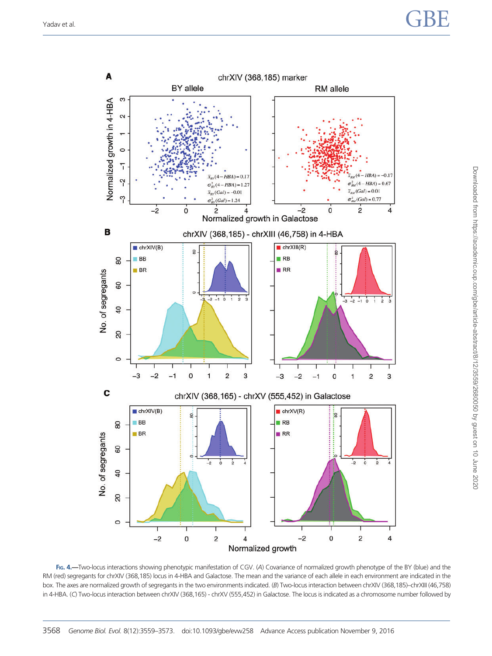<span id="page-9-0"></span>

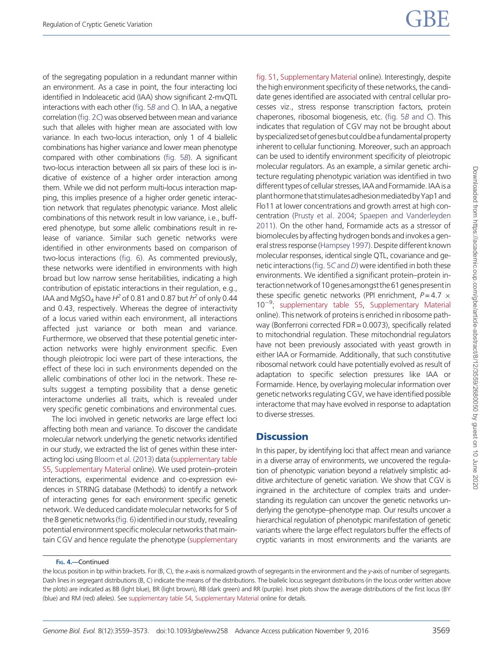of the segregating population in a redundant manner within an environment. As a case in point, the four interacting loci identified in Indoleacetic acid (IAA) show significant 2-mvQTL interactions with each other [\(fig. 5](#page-11-0)B and C). In IAA, a negative correlation [\(fig. 2](#page-6-0)C) was observed between mean and variance such that alleles with higher mean are associated with low variance. In each two-locus interaction, only 1 of 4 biallelic combinations has higher variance and lower mean phenotype compared with other combinations [\(fig. 5](#page-11-0)B). A significant two-locus interaction between all six pairs of these loci is indicative of existence of a higher order interaction among them. While we did not perform multi-locus interaction mapping, this implies presence of a higher order genetic interaction network that regulates phenotypic variance. Most allelic combinations of this network result in low variance, i.e., buffered phenotype, but some allelic combinations result in release of variance. Similar such genetic networks were identified in other environments based on comparison of two-locus interactions [\(fig. 6\)](#page-12-0). As commented previously, these networks were identified in environments with high broad but low narrow sense heritabilities, indicating a high contribution of epistatic interactions in their regulation, e.g., IAA and MgSO<sub>4</sub> have  $H^2$  of 0.81 and 0.87 but  $h^2$  of only 0.44 and 0.43, respectively. Whereas the degree of interactivity of a locus varied within each environment, all interactions affected just variance or both mean and variance. Furthermore, we observed that these potential genetic interaction networks were highly environment specific. Even though pleiotropic loci were part of these interactions, the effect of these loci in such environments depended on the allelic combinations of other loci in the network. These results suggest a tempting possibility that a dense genetic interactome underlies all traits, which is revealed under very specific genetic combinations and environmental cues.

The loci involved in genetic networks are large effect loci affecting both mean and variance. To discover the candidate molecular network underlying the genetic networks identified in our study, we extracted the list of genes within these interacting loci using [Bloom et al. \(2013\)](#page-14-0) data ([supplementary table](http://gbe.oxfordjournals.org/lookup/suppl/doi:10.1093/gbe/evw258/-/DC1) [S5](http://gbe.oxfordjournals.org/lookup/suppl/doi:10.1093/gbe/evw258/-/DC1), [Supplementary Material](http://gbe.oxfordjournals.org/lookup/suppl/doi:10.1093/gbe/evw258/-/DC1) online). We used protein–protein interactions, experimental evidence and co-expression evidences in STRING database (Methods) to identify a network of interacting genes for each environment specific genetic network. We deduced candidate molecular networks for 5 of the 8 genetic networks (fig. 6) identified in our study, revealing potential environment specific molecular networks that maintain CGV and hence regulate the phenotype ([supplementary](http://gbe.oxfordjournals.org/lookup/suppl/doi:10.1093/gbe/evw258/-/DC1) [fig. S1,](http://gbe.oxfordjournals.org/lookup/suppl/doi:10.1093/gbe/evw258/-/DC1) [Supplementary Material](http://gbe.oxfordjournals.org/lookup/suppl/doi:10.1093/gbe/evw258/-/DC1) online). Interestingly, despite the high environment specificity of these networks, the candidate genes identified are associated with central cellular processes viz., stress response transcription factors, protein chaperones, ribosomal biogenesis, etc. [\(fig. 5](#page-11-0)B and C). This indicates that regulation of CGV may not be brought about by specialized set of genes but could be a fundamental property inherent to cellular functioning. Moreover, such an approach can be used to identify environment specificity of pleiotropic molecular regulators. As an example, a similar genetic architecture regulating phenotypic variation was identified in two different types of cellular stresses, IAA and Formamide. IAA is a planthormonethatstimulatesadhesionmediatedbyYap1and Flo11 at lower concentrations and growth arrest at high concentration ([Prusty et al. 2004](#page-14-0); [Spaepen and Vanderleyden](#page-14-0) [2011\)](#page-14-0). On the other hand, Formamide acts as a stressor of biomolecules by affecting hydrogen bonds and invokes a general stress response [\(Hampsey 1997](#page-14-0)). Despite different known molecular responses, identical single QTL, covariance and genetic interactions ([fig. 5](#page-11-0)C and D) were identified in both these environments. We identified a significant protein–protein interaction network of 10 genes amongst the 61 genes present in these specific genetic networks (PPI enrichment,  $P=4.7 \times$ 10<sup>-9</sup>; [supplementary table S5](http://gbe.oxfordjournals.org/lookup/suppl/doi:10.1093/gbe/evw258/-/DC1), [Supplementary Material](http://gbe.oxfordjournals.org/lookup/suppl/doi:10.1093/gbe/evw258/-/DC1) online). This network of proteins is enriched in ribosome pathway (Bonferroni corrected FDR = 0.0073), specifically related to mitochondrial regulation. These mitochondrial regulators have not been previously associated with yeast growth in either IAA or Formamide. Additionally, that such constitutive ribosomal network could have potentially evolved as result of adaptation to specific selection pressures like IAA or Formamide. Hence, by overlaying molecular information over genetic networks regulating CGV, we have identified possible interactome that may have evolved in response to adaptation to diverse stresses.

## **Discussion**

In this paper, by identifying loci that affect mean and variance in a diverse array of environments, we uncovered the regulation of phenotypic variation beyond a relatively simplistic additive architecture of genetic variation. We show that CGV is ingrained in the architecture of complex traits and understanding its regulation can uncover the genetic networks underlying the genotype–phenotype map. Our results uncover a hierarchical regulation of phenotypic manifestation of genetic variants where the large effect regulators buffer the effects of cryptic variants in most environments and the variants are

FIG. 4.—Continued

the locus position in bp within brackets. For (B, C), the x-axis is normalized growth of segregants in the environment and the y-axis of number of segregants. Dash lines in segregant distributions (B, C) indicate the means of the distributions. The biallelic locus segregant distributions (in the locus order written above the plots) are indicated as BB (light blue), BR (light brown), RB (dark green) and RR (purple). Inset plots show the average distributions of the first locus (BY (blue) and RM (red) alleles). See [supplementary table S4,](http://gbe.oxfordjournals.org/lookup/suppl/doi:10.1093/gbe/evw258/-/DC1) [Supplementary Material](http://gbe.oxfordjournals.org/lookup/suppl/doi:10.1093/gbe/evw258/-/DC1) online for details.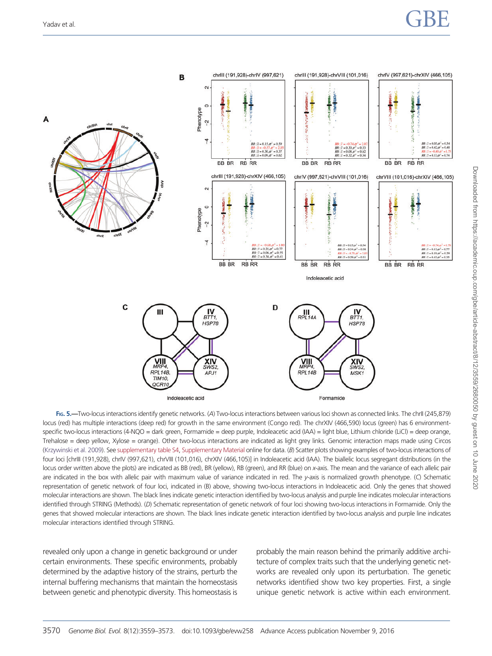<span id="page-11-0"></span>

FIG. 5.—Two-locus interactions identify genetic networks. (A) Two-locus interactions between various loci shown as connected links. The chrII (245,879) locus (red) has multiple interactions (deep red) for growth in the same environment (Congo red). The chrXIV (466,590) locus (green) has 6 environmentspecific two-locus interactions (4-NQO = dark green, Formamide = deep purple, Indoleacetic acid (IAA) = light blue, Lithium chloride (LiCl) = deep orange, Trehalose = deep yellow, Xylose = orange). Other two-locus interactions are indicated as light grey links. Genomic interaction maps made using Circos [\(Krzywinski et al. 2009](#page-14-0)). See [supplementary table S4,](http://gbe.oxfordjournals.org/lookup/suppl/doi:10.1093/gbe/evw258/-/DC1) [Supplementary Material](http://gbe.oxfordjournals.org/lookup/suppl/doi:10.1093/gbe/evw258/-/DC1) online for data. (B) Scatter plots showing examples of two-locus interactions of four loci [chrlll (191,928), chrIV (997,621), chrVlll (101,016), chrXIV (466,105)] in Indoleacetic acid (IAA). The biallelic locus segregant distributions (in the locus order written above the plots) are indicated as BB (red), BR (yellow), RB (green), and RR (blue) on x-axis. The mean and the variance of each allelic pair are indicated in the box with allelic pair with maximum value of variance indicated in red. The y-axis is normalized growth phenotype. (C) Schematic representation of genetic network of four loci, indicated in (B) above, showing two-locus interactions in Indoleacetic acid. Only the genes that showed molecular interactions are shown. The black lines indicate genetic interaction identified by two-locus analysis and purple line indicates molecular interactions identified through STRING (Methods). (D) Schematic representation of genetic network of four loci showing two-locus interactions in Formamide. Only the genes that showed molecular interactions are shown. The black lines indicate genetic interaction identified by two-locus analysis and purple line indicates molecular interactions identified through STRING.

revealed only upon a change in genetic background or under certain environments. These specific environments, probably determined by the adaptive history of the strains, perturb the internal buffering mechanisms that maintain the homeostasis between genetic and phenotypic diversity. This homeostasis is probably the main reason behind the primarily additive architecture of complex traits such that the underlying genetic networks are revealed only upon its perturbation. The genetic networks identified show two key properties. First, a single unique genetic network is active within each environment.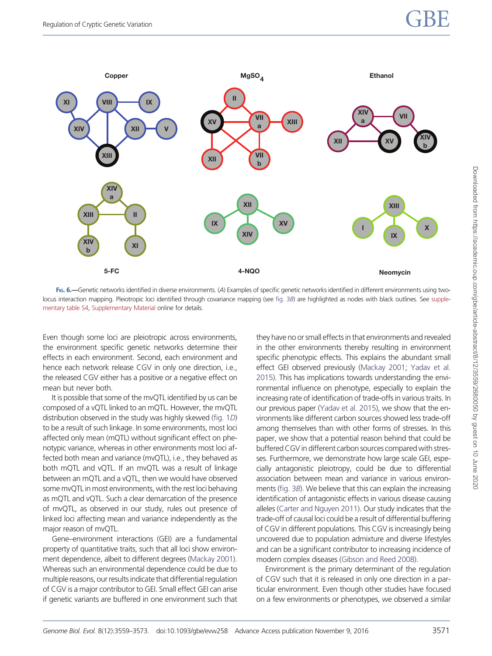<span id="page-12-0"></span>

FIG. 6.—Genetic networks identified in diverse environments. (A) Examples of specific genetic networks identified in different environments using twolocus interaction mapping. Pleiotropic loci identified through covariance mapping (see [fig. 3](#page-7-0)B) are highlighted as nodes with black outlines. See [supple](http://gbe.oxfordjournals.org/lookup/suppl/doi:10.1093/gbe/evw258/-/DC1)[mentary table S4,](http://gbe.oxfordjournals.org/lookup/suppl/doi:10.1093/gbe/evw258/-/DC1) [Supplementary Material](http://gbe.oxfordjournals.org/lookup/suppl/doi:10.1093/gbe/evw258/-/DC1) online for details.

Even though some loci are pleiotropic across environments, the environment specific genetic networks determine their effects in each environment. Second, each environment and hence each network release CGV in only one direction, i.e., the released CGV either has a positive or a negative effect on mean but never both.

It is possible that some of the mvQTL identified by us can be composed of a vQTL linked to an mQTL. However, the mvQTL distribution observed in the study was highly skewed ([fig. 1](#page-5-0)D) to be a result of such linkage. In some environments, most loci affected only mean (mQTL) without significant effect on phenotypic variance, whereas in other environments most loci affected both mean and variance (mvQTL), i.e., they behaved as both mQTL and vQTL. If an mvQTL was a result of linkage between an mQTL and a vQTL, then we would have observed some mvQTL in most environments, with the rest loci behaving as mQTL and vQTL. Such a clear demarcation of the presence of mvQTL, as observed in our study, rules out presence of linked loci affecting mean and variance independently as the major reason of mvQTL.

Gene–environment interactions (GEI) are a fundamental property of quantitative traits, such that all loci show environment dependence, albeit to different degrees [\(Mackay 2001](#page-14-0)). Whereas such an environmental dependence could be due to multiple reasons, our results indicate that differential regulation of CGV is a major contributor to GEI. Small effect GEI can arise if genetic variants are buffered in one environment such that they have no or small effects in that environments and revealed in the other environments thereby resulting in environment specific phenotypic effects. This explains the abundant small effect GEI observed previously ([Mackay 2001;](#page-14-0) [Yadav et al.](#page-14-0) [2015](#page-14-0)). This has implications towards understanding the environmental influence on phenotype, especially to explain the increasing rate of identification of trade-offs in various traits. In our previous paper [\(Yadav et al. 2015](#page-14-0)), we show that the environments like different carbon sources showed less trade-off among themselves than with other forms of stresses. In this paper, we show that a potential reason behind that could be buffered CGV in different carbon sources compared with stresses. Furthermore, we demonstrate how large scale GEI, especially antagonistic pleiotropy, could be due to differential association between mean and variance in various environments ([fig. 3](#page-7-0)B). We believe that this can explain the increasing identification of antagonistic effects in various disease causing alleles ([Carter and Nguyen 2011](#page-14-0)). Our study indicates that the trade-off of causal loci could be a result of differential buffering of CGV in different populations. This CGV is increasingly being uncovered due to population admixture and diverse lifestyles and can be a significant contributor to increasing incidence of modern complex diseases ([Gibson and Reed 2008\)](#page-14-0).

Environment is the primary determinant of the regulation of CGV such that it is released in only one direction in a particular environment. Even though other studies have focused on a few environments or phenotypes, we observed a similar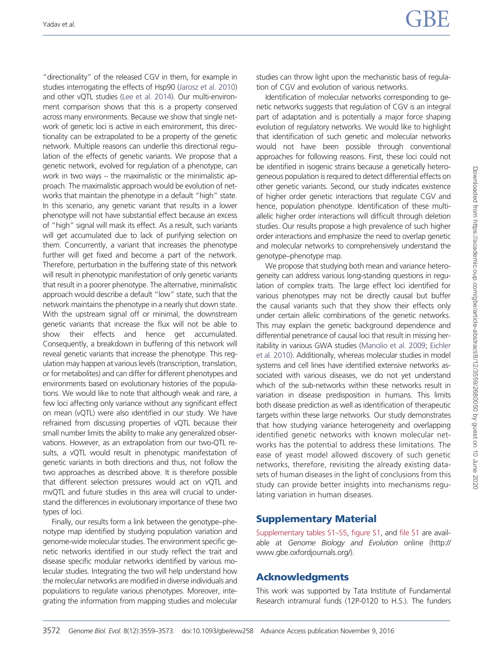"directionality" of the released CGV in them, for example in studies interrogating the effects of Hsp90 [\(Jarosz et al. 2010\)](#page-14-0) and other vQTL studies [\(Lee et al. 2014](#page-14-0)). Our multi-environment comparison shows that this is a property conserved across many environments. Because we show that single network of genetic loci is active in each environment, this directionality can be extrapolated to be a property of the genetic network. Multiple reasons can underlie this directional regulation of the effects of genetic variants. We propose that a genetic network, evolved for regulation of a phenotype, can work in two ways – the maximalistic or the minimalistic approach. The maximalistic approach would be evolution of networks that maintain the phenotype in a default "high" state. In this scenario, any genetic variant that results in a lower phenotype will not have substantial effect because an excess of "high" signal will mask its effect. As a result, such variants will get accumulated due to lack of purifying selection on them. Concurrently, a variant that increases the phenotype further will get fixed and become a part of the network. Therefore, perturbation in the buffering state of this network will result in phenotypic manifestation of only genetic variants that result in a poorer phenotype. The alternative, minimalistic approach would describe a default "low" state, such that the network maintains the phenotype in a nearly shut down state. With the upstream signal off or minimal, the downstream genetic variants that increase the flux will not be able to show their effects and hence get accumulated. Consequently, a breakdown in buffering of this network will reveal genetic variants that increase the phenotype. This regulation may happen at various levels (transcription, translation, or for metabolites) and can differ for different phenotypes and environments based on evolutionary histories of the populations. We would like to note that although weak and rare, a few loci affecting only variance without any significant effect on mean (vQTL) were also identified in our study. We have refrained from discussing properties of vQTL because their small number limits the ability to make any generalized observations. However, as an extrapolation from our two-QTL results, a vQTL would result in phenotypic manifestation of genetic variants in both directions and thus, not follow the two approaches as described above. It is therefore possible that different selection pressures would act on vQTL and mvQTL and future studies in this area will crucial to understand the differences in evolutionary importance of these two types of loci.

Finally, our results form a link between the genotype–phenotype map identified by studying population variation and genome-wide molecular studies. The environment specific genetic networks identified in our study reflect the trait and disease specific modular networks identified by various molecular studies. Integrating the two will help understand how the molecular networks are modified in diverse individuals and populations to regulate various phenotypes. Moreover, integrating the information from mapping studies and molecular studies can throw light upon the mechanistic basis of regulation of CGV and evolution of various networks.

Identification of molecular networks corresponding to genetic networks suggests that regulation of CGV is an integral part of adaptation and is potentially a major force shaping evolution of regulatory networks. We would like to highlight that identification of such genetic and molecular networks would not have been possible through conventional approaches for following reasons. First, these loci could not be identified in isogenic strains because a genetically heterogeneous population is required to detect differential effects on other genetic variants. Second, our study indicates existence of higher order genetic interactions that regulate CGV and hence, population phenotype. Identification of these multiallelic higher order interactions will difficult through deletion studies. Our results propose a high prevalence of such higher order interactions and emphasize the need to overlap genetic and molecular networks to comprehensively understand the genotype–phenotype map.

We propose that studying both mean and variance heterogeneity can address various long-standing questions in regulation of complex traits. The large effect loci identified for various phenotypes may not be directly causal but buffer the causal variants such that they show their effects only under certain allelic combinations of the genetic networks. This may explain the genetic background dependence and differential penetrance of causal loci that result in missing heritability in various GWA studies ([Manolio et al. 2009](#page-14-0); [Eichler](#page-14-0) [et al. 2010\)](#page-14-0). Additionally, whereas molecular studies in model systems and cell lines have identified extensive networks associated with various diseases, we do not yet understand which of the sub-networks within these networks result in variation in disease predisposition in humans. This limits both disease prediction as well as identification of therapeutic targets within these large networks. Our study demonstrates that how studying variance heterogeneity and overlapping identified genetic networks with known molecular networks has the potential to address these limitations. The ease of yeast model allowed discovery of such genetic networks, therefore, revisiting the already existing datasets of human diseases in the light of conclusions from this study can provide better insights into mechanisms regulating variation in human diseases.

## Supplementary Material

[Supplementary tables S1–S5](http://gbe.oxfordjournals.org/lookup/suppl/doi:10.1093/gbe/evw258/-/DC1), [figure S1,](http://gbe.oxfordjournals.org/lookup/suppl/doi:10.1093/gbe/evw258/-/DC1) and [file S1](http://gbe.oxfordjournals.org/lookup/suppl/doi:10.1093/gbe/evw258/-/DC1) are available at Genome Biology and Evolution online (http:// www.gbe.oxfordjournals.org/).

# Acknowledgments

This work was supported by Tata Institute of Fundamental Research intramural funds (12P-0120 to H.S.). The funders